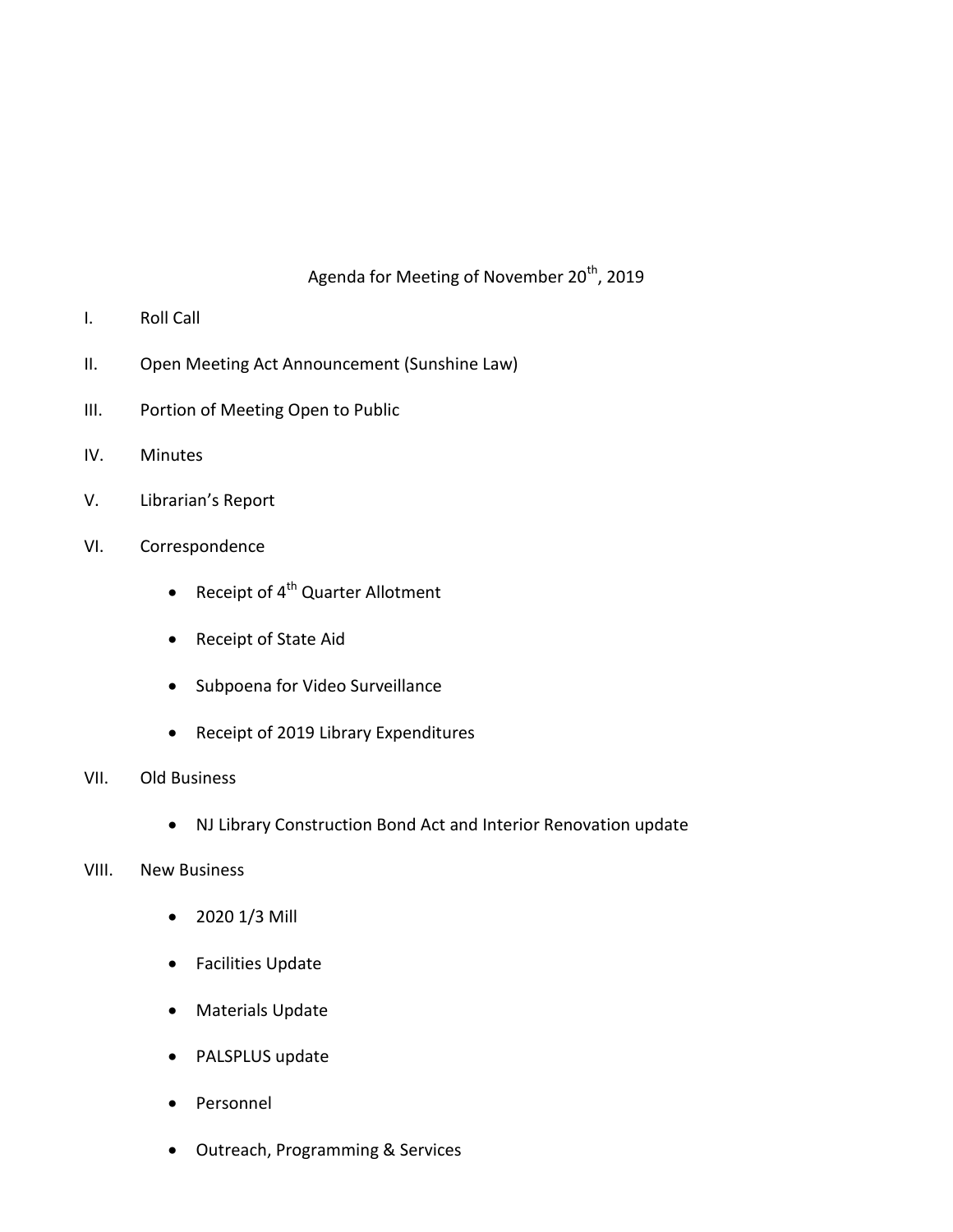## Agenda for Meeting of November 20<sup>th</sup>, 2019

- I. Roll Call
- II. Open Meeting Act Announcement (Sunshine Law)
- III. Portion of Meeting Open to Public
- IV. Minutes
- V. Librarian's Report
- VI. Correspondence
	- Receipt of  $4^{\text{th}}$  Quarter Allotment
	- Receipt of State Aid
	- Subpoena for Video Surveillance
	- Receipt of 2019 Library Expenditures
- VII. Old Business
	- NJ Library Construction Bond Act and Interior Renovation update
- VIII. New Business
	- 2020 1/3 Mill
	- Facilities Update
	- Materials Update
	- PALSPLUS update
	- Personnel
	- Outreach, Programming & Services